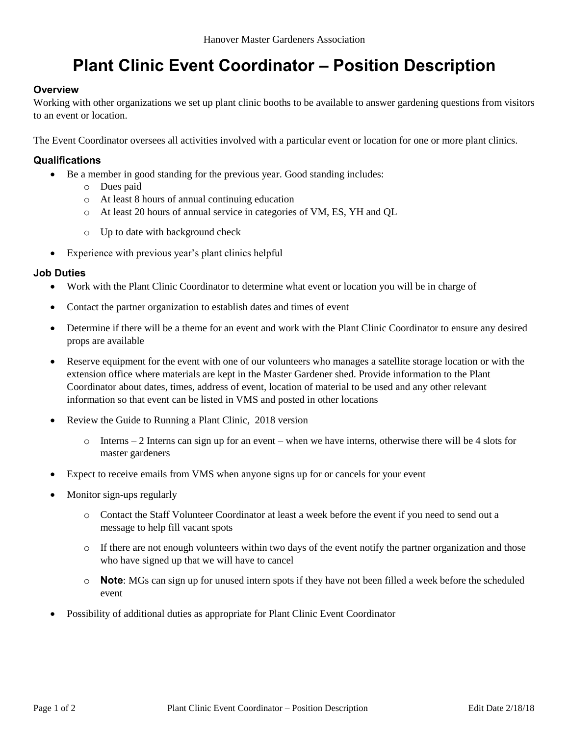# **Plant Clinic Event Coordinator – Position Description**

## **Overview**

Working with other organizations we set up plant clinic booths to be available to answer gardening questions from visitors to an event or location.

The Event Coordinator oversees all activities involved with a particular event or location for one or more plant clinics.

### **Qualifications**

- Be a member in good standing for the previous year. Good standing includes:
	- o Dues paid
	- o At least 8 hours of annual continuing education
	- o At least 20 hours of annual service in categories of VM, ES, YH and QL
	- o Up to date with background check
- Experience with previous year's plant clinics helpful

### **Job Duties**

- Work with the Plant Clinic Coordinator to determine what event or location you will be in charge of
- Contact the partner organization to establish dates and times of event
- Determine if there will be a theme for an event and work with the Plant Clinic Coordinator to ensure any desired props are available
- Reserve equipment for the event with one of our volunteers who manages a satellite storage location or with the extension office where materials are kept in the Master Gardener shed. Provide information to the Plant Coordinator about dates, times, address of event, location of material to be used and any other relevant information so that event can be listed in VMS and posted in other locations
- Review the Guide to Running a Plant Clinic, 2018 version
	- $\circ$  Interns 2 Interns can sign up for an event when we have interns, otherwise there will be 4 slots for master gardeners
- Expect to receive emails from VMS when anyone signs up for or cancels for your event
- Monitor sign-ups regularly
	- o Contact the Staff Volunteer Coordinator at least a week before the event if you need to send out a message to help fill vacant spots
	- o If there are not enough volunteers within two days of the event notify the partner organization and those who have signed up that we will have to cancel
	- o **Note**: MGs can sign up for unused intern spots if they have not been filled a week before the scheduled event
- Possibility of additional duties as appropriate for Plant Clinic Event Coordinator